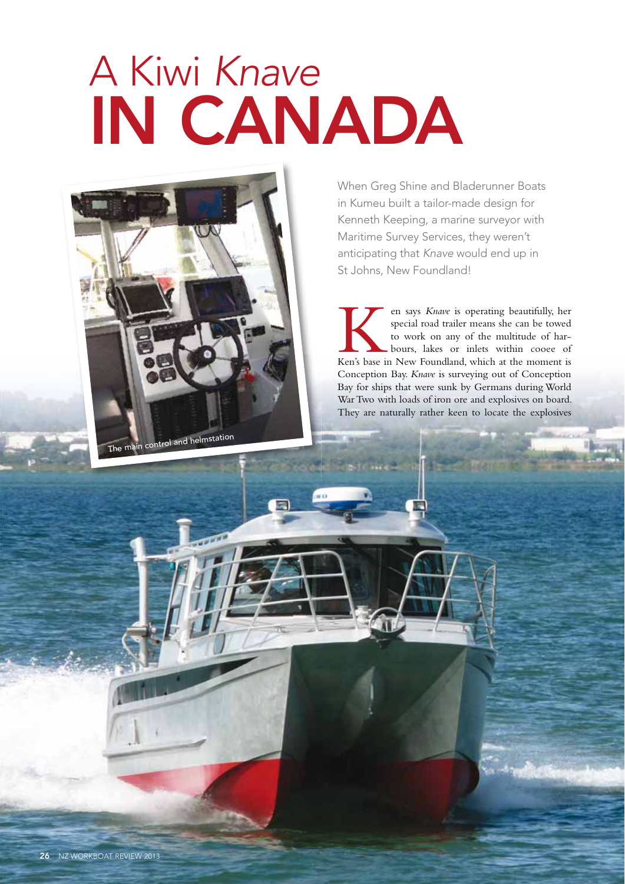## A Kiwi *Knave* IN CANADA



When Greg Shine and Bladerunner Boats in Kumeu built a tailor-made design for Kenneth Keeping, a marine surveyor with Maritime Survey Services, they weren't anticipating that *Knave* would end up in St Johns, New Foundland!

en says *Knave* is operating beautifully, her special road trailer means she can be towed to work on any of the multitude of harbours, lakes or inlets within cooee of Ken's base in New Foundland, which at the moment is special road trailer means she can be towed to work on any of the multitude of harbours, lakes or inlets within cooee of Conception Bay. *Knave* is surveying out of Conception Bay for ships that were sunk by Germans during World War Two with loads of iron ore and explosives on board. They are naturally rather keen to locate the explosives

**LIGHTED AT**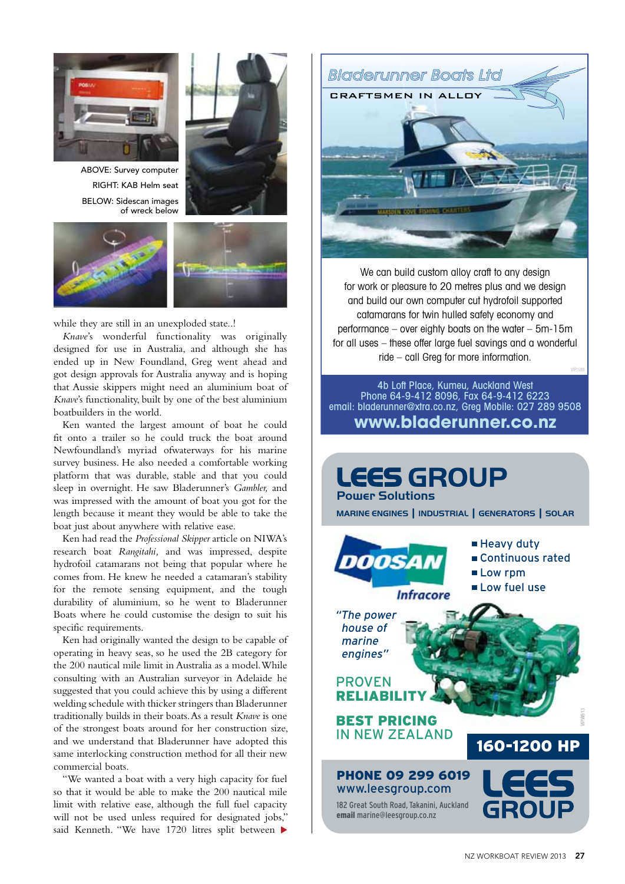

ABOVE: Survey computer RIGHT: KAB Helm seat BELOW: Sidescan images of wreck below







while they are still in an unexploded state..!

*Knave*'s wonderful functionality was originally designed for use in Australia, and although she has ended up in New Foundland, Greg went ahead and got design approvals for Australia anyway and is hoping that Aussie skippers might need an aluminium boat of *Knave*'s functionality, built by one of the best aluminium boatbuilders in the world.

Ken wanted the largest amount of boat he could fit onto a trailer so he could truck the boat around Newfoundland's myriad ofwaterways for his marine survey business. He also needed a comfortable working platform that was durable, stable and that you could sleep in overnight. He saw Bladerunner's *Gambler,* and was impressed with the amount of boat you got for the length because it meant they would be able to take the boat just about anywhere with relative ease.

Ken had read the *Professional Skipper* article on NIWA's research boat *Rangitahi,* and was impressed, despite hydrofoil catamarans not being that popular where he comes from. He knew he needed a catamaran's stability for the remote sensing equipment, and the tough durability of aluminium, so he went to Bladerunner Boats where he could customise the design to suit his specific requirements.

Ken had originally wanted the design to be capable of operating in heavy seas, so he used the 2B category for the 200 nautical mile limit in Australia as a model. While consulting with an Australian surveyor in Adelaide he suggested that you could achieve this by using a different welding schedule with thicker stringers than Bladerunner traditionally builds in their boats. As a result *Knave* is one of the strongest boats around for her construction size, and we understand that Bladerunner have adopted this same interlocking construction method for all their new commercial boats.

"We wanted a boat with a very high capacity for fuel so that it would be able to make the 200 nautical mile limit with relative ease, although the full fuel capacity will not be used unless required for designated jobs," said Kenneth. "We have 1720 litres split between



We can build custom alloy craft to any design for work or pleasure to 20 metres plus and we design and build our own computer cut hydrofoil supported catamarans for twin hulled safety economy and performance – over eighty boats on the water – 5m-15m for all uses – these offer large fuel savings and a wonderful ride – call Greg for more information.

4b Loft Place, Kumeu, Auckland West Phone 64-9-412 8096, Fax 64-9-412 6223 email: bladerunner@xtra.co.nz, Greg Mobile: 027 289 9508 **www.bladerunner.co.nz**

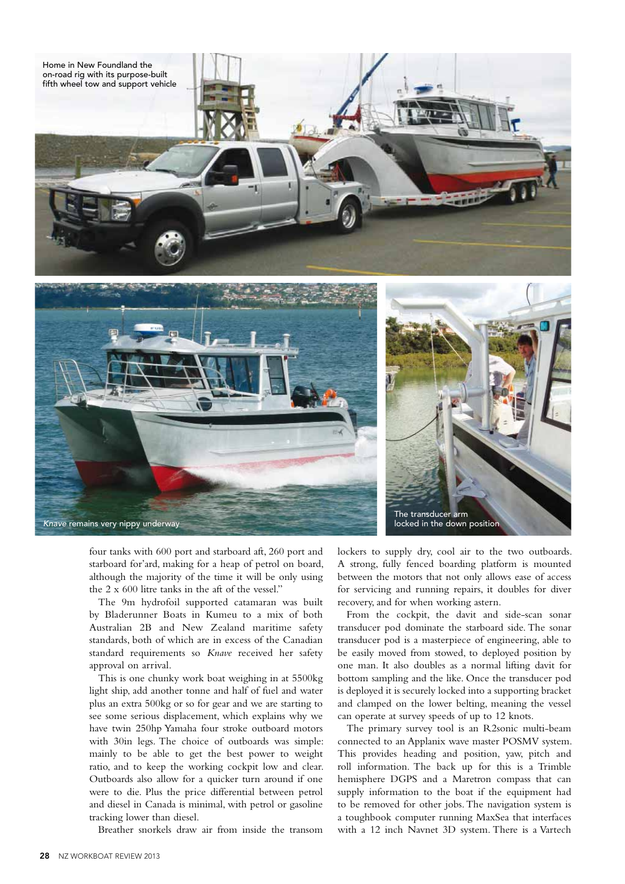

four tanks with 600 port and starboard aft, 260 port and starboard for'ard, making for a heap of petrol on board, although the majority of the time it will be only using the 2 x 600 litre tanks in the aft of the vessel."

The 9m hydrofoil supported catamaran was built by Bladerunner Boats in Kumeu to a mix of both Australian 2B and New Zealand maritime safety standards, both of which are in excess of the Canadian standard requirements so *Knave* received her safety approval on arrival.

This is one chunky work boat weighing in at 5500kg light ship, add another tonne and half of fuel and water plus an extra 500kg or so for gear and we are starting to see some serious displacement, which explains why we have twin 250hp Yamaha four stroke outboard motors with 30in legs. The choice of outboards was simple: mainly to be able to get the best power to weight ratio, and to keep the working cockpit low and clear. Outboards also allow for a quicker turn around if one were to die. Plus the price differential between petrol and diesel in Canada is minimal, with petrol or gasoline tracking lower than diesel.

Breather snorkels draw air from inside the transom

lockers to supply dry, cool air to the two outboards. A strong, fully fenced boarding platform is mounted between the motors that not only allows ease of access for servicing and running repairs, it doubles for diver recovery, and for when working astern.

From the cockpit, the davit and side-scan sonar transducer pod dominate the starboard side. The sonar transducer pod is a masterpiece of engineering, able to be easily moved from stowed, to deployed position by one man. It also doubles as a normal lifting davit for bottom sampling and the like. Once the transducer pod is deployed it is securely locked into a supporting bracket and clamped on the lower belting, meaning the vessel can operate at survey speeds of up to 12 knots.

The primary survey tool is an R2sonic multi-beam connected to an Applanix wave master POSMV system. This provides heading and position, yaw, pitch and roll information. The back up for this is a Trimble hemisphere DGPS and a Maretron compass that can supply information to the boat if the equipment had to be removed for other jobs. The navigation system is a toughbook computer running MaxSea that interfaces with a 12 inch Navnet 3D system. There is a Vartech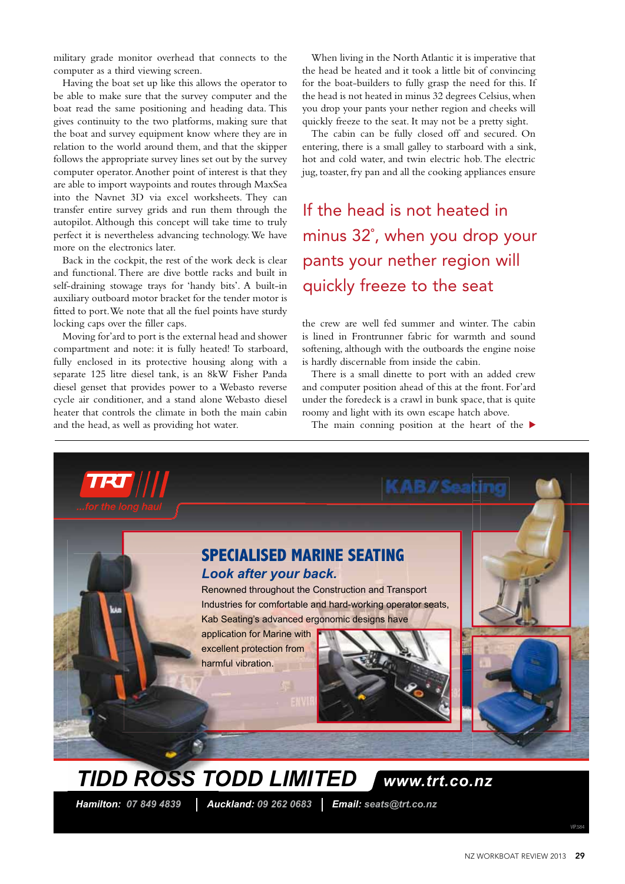military grade monitor overhead that connects to the computer as a third viewing screen.

Having the boat set up like this allows the operator to be able to make sure that the survey computer and the boat read the same positioning and heading data. This gives continuity to the two platforms, making sure that the boat and survey equipment know where they are in relation to the world around them, and that the skipper follows the appropriate survey lines set out by the survey computer operator. Another point of interest is that they are able to import waypoints and routes through MaxSea into the Navnet 3D via excel worksheets. They can transfer entire survey grids and run them through the autopilot. Although this concept will take time to truly perfect it is nevertheless advancing technology. We have more on the electronics later.

Back in the cockpit, the rest of the work deck is clear and functional. There are dive bottle racks and built in self-draining stowage trays for 'handy bits'. A built-in auxiliary outboard motor bracket for the tender motor is fitted to port. We note that all the fuel points have sturdy locking caps over the filler caps.

Moving for'ard to port is the external head and shower compartment and note: it is fully heated! To starboard, fully enclosed in its protective housing along with a separate 125 litre diesel tank, is an 8kW Fisher Panda diesel genset that provides power to a Webasto reverse cycle air conditioner, and a stand alone Webasto diesel heater that controls the climate in both the main cabin and the head, as well as providing hot water.

When living in the North Atlantic it is imperative that the head be heated and it took a little bit of convincing for the boat-builders to fully grasp the need for this. If the head is not heated in minus 32 degrees Celsius, when you drop your pants your nether region and cheeks will quickly freeze to the seat. It may not be a pretty sight.

The cabin can be fully closed off and secured. On entering, there is a small galley to starboard with a sink, hot and cold water, and twin electric hob. The electric jug, toaster, fry pan and all the cooking appliances ensure

If the head is not heated in minus 32˚, when you drop your pants your nether region will quickly freeze to the seat

the crew are well fed summer and winter. The cabin is lined in Frontrunner fabric for warmth and sound softening, although with the outboards the engine noise is hardly discernable from inside the cabin.

There is a small dinette to port with an added crew and computer position ahead of this at the front. For'ard under the foredeck is a crawl in bunk space, that is quite roomy and light with its own escape hatch above.

The main conning position at the heart of the  $\blacktriangleright$